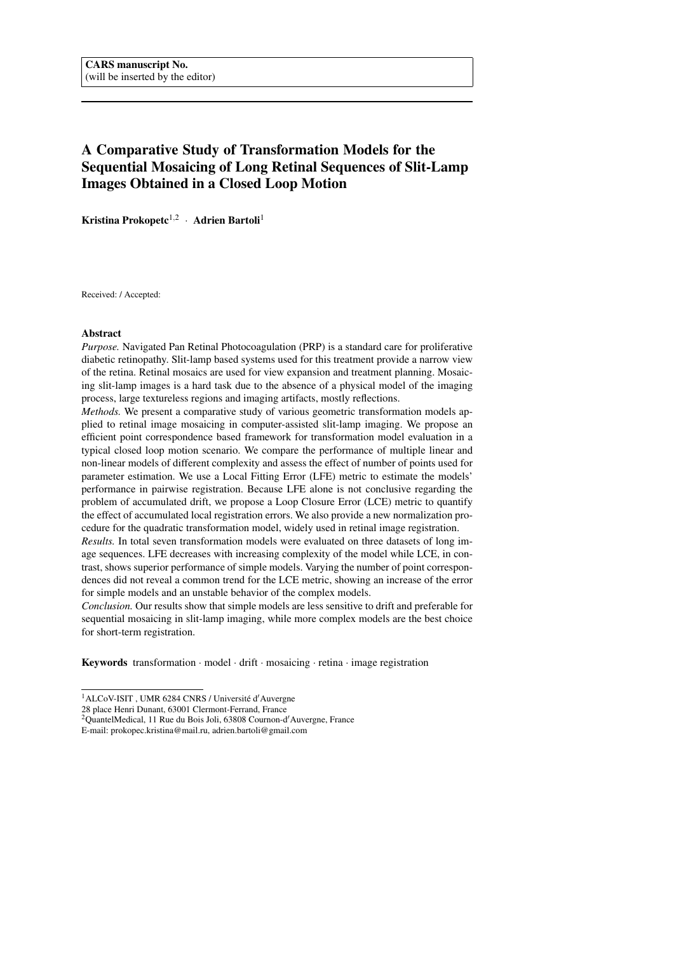# A Comparative Study of Transformation Models for the Sequential Mosaicing of Long Retinal Sequences of Slit-Lamp Images Obtained in a Closed Loop Motion

Kristina Prokopetc<sup>1,2</sup> · Adrien Bartoli<sup>1</sup>

Received: / Accepted:

## Abstract

*Purpose.* Navigated Pan Retinal Photocoagulation (PRP) is a standard care for proliferative diabetic retinopathy. Slit-lamp based systems used for this treatment provide a narrow view of the retina. Retinal mosaics are used for view expansion and treatment planning. Mosaicing slit-lamp images is a hard task due to the absence of a physical model of the imaging process, large textureless regions and imaging artifacts, mostly reflections.

*Methods.* We present a comparative study of various geometric transformation models applied to retinal image mosaicing in computer-assisted slit-lamp imaging. We propose an efficient point correspondence based framework for transformation model evaluation in a typical closed loop motion scenario. We compare the performance of multiple linear and non-linear models of different complexity and assess the effect of number of points used for parameter estimation. We use a Local Fitting Error (LFE) metric to estimate the models' performance in pairwise registration. Because LFE alone is not conclusive regarding the problem of accumulated drift, we propose a Loop Closure Error (LCE) metric to quantify the effect of accumulated local registration errors. We also provide a new normalization procedure for the quadratic transformation model, widely used in retinal image registration.

*Results.* In total seven transformation models were evaluated on three datasets of long image sequences. LFE decreases with increasing complexity of the model while LCE, in contrast, shows superior performance of simple models. Varying the number of point correspondences did not reveal a common trend for the LCE metric, showing an increase of the error for simple models and an unstable behavior of the complex models.

*Conclusion.* Our results show that simple models are less sensitive to drift and preferable for sequential mosaicing in slit-lamp imaging, while more complex models are the best choice for short-term registration.

Keywords transformation · model · drift · mosaicing · retina · image registration

<sup>&</sup>lt;sup>1</sup>ALCoV-ISIT, UMR 6284 CNRS / Université d'Auvergne

<sup>28</sup> place Henri Dunant, 63001 Clermont-Ferrand, France

<sup>&</sup>lt;sup>2</sup>QuantelMedical, 11 Rue du Bois Joli, 63808 Cournon-d'Auvergne, France

E-mail: prokopec.kristina@mail.ru, adrien.bartoli@gmail.com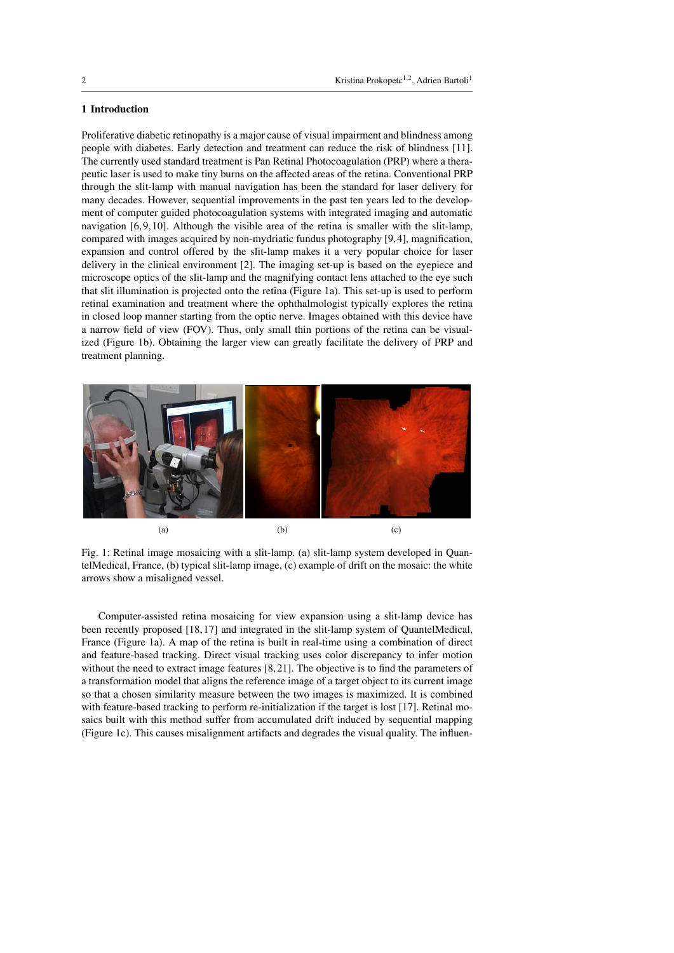## 1 Introduction

Proliferative diabetic retinopathy is a major cause of visual impairment and blindness among people with diabetes. Early detection and treatment can reduce the risk of blindness [11]. The currently used standard treatment is Pan Retinal Photocoagulation (PRP) where a therapeutic laser is used to make tiny burns on the affected areas of the retina. Conventional PRP through the slit-lamp with manual navigation has been the standard for laser delivery for many decades. However, sequential improvements in the past ten years led to the development of computer guided photocoagulation systems with integrated imaging and automatic navigation [6, 9, 10]. Although the visible area of the retina is smaller with the slit-lamp, compared with images acquired by non-mydriatic fundus photography [9, 4], magnification, expansion and control offered by the slit-lamp makes it a very popular choice for laser delivery in the clinical environment [2]. The imaging set-up is based on the eyepiece and microscope optics of the slit-lamp and the magnifying contact lens attached to the eye such that slit illumination is projected onto the retina (Figure 1a). This set-up is used to perform retinal examination and treatment where the ophthalmologist typically explores the retina in closed loop manner starting from the optic nerve. Images obtained with this device have a narrow field of view (FOV). Thus, only small thin portions of the retina can be visualized (Figure 1b). Obtaining the larger view can greatly facilitate the delivery of PRP and treatment planning.



Fig. 1: Retinal image mosaicing with a slit-lamp. (a) slit-lamp system developed in QuantelMedical, France, (b) typical slit-lamp image, (c) example of drift on the mosaic: the white arrows show a misaligned vessel.

Computer-assisted retina mosaicing for view expansion using a slit-lamp device has been recently proposed [18, 17] and integrated in the slit-lamp system of QuantelMedical, France (Figure 1a). A map of the retina is built in real-time using a combination of direct and feature-based tracking. Direct visual tracking uses color discrepancy to infer motion without the need to extract image features [8,21]. The objective is to find the parameters of a transformation model that aligns the reference image of a target object to its current image so that a chosen similarity measure between the two images is maximized. It is combined with feature-based tracking to perform re-initialization if the target is lost [17]. Retinal mosaics built with this method suffer from accumulated drift induced by sequential mapping (Figure 1c). This causes misalignment artifacts and degrades the visual quality. The influen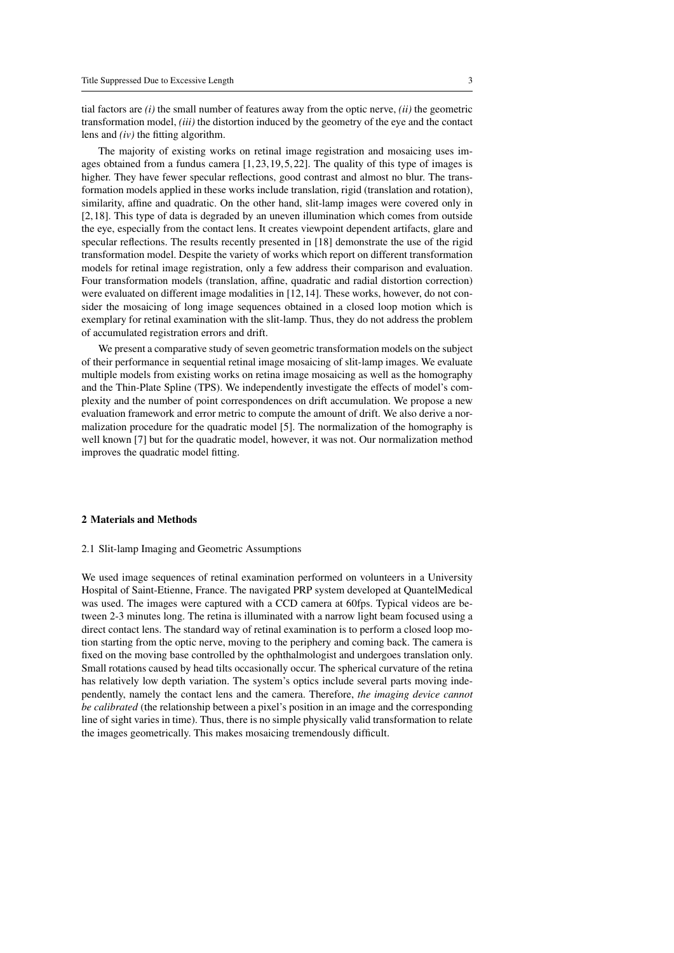tial factors are *(i)* the small number of features away from the optic nerve, *(ii)* the geometric transformation model, *(iii)* the distortion induced by the geometry of the eye and the contact lens and *(iv)* the fitting algorithm.

The majority of existing works on retinal image registration and mosaicing uses images obtained from a fundus camera  $[1, 23, 19, 5, 22]$ . The quality of this type of images is higher. They have fewer specular reflections, good contrast and almost no blur. The transformation models applied in these works include translation, rigid (translation and rotation), similarity, affine and quadratic. On the other hand, slit-lamp images were covered only in [2, 18]. This type of data is degraded by an uneven illumination which comes from outside the eye, especially from the contact lens. It creates viewpoint dependent artifacts, glare and specular reflections. The results recently presented in [18] demonstrate the use of the rigid transformation model. Despite the variety of works which report on different transformation models for retinal image registration, only a few address their comparison and evaluation. Four transformation models (translation, affine, quadratic and radial distortion correction) were evaluated on different image modalities in [12, 14]. These works, however, do not consider the mosaicing of long image sequences obtained in a closed loop motion which is exemplary for retinal examination with the slit-lamp. Thus, they do not address the problem of accumulated registration errors and drift.

We present a comparative study of seven geometric transformation models on the subject of their performance in sequential retinal image mosaicing of slit-lamp images. We evaluate multiple models from existing works on retina image mosaicing as well as the homography and the Thin-Plate Spline (TPS). We independently investigate the effects of model's complexity and the number of point correspondences on drift accumulation. We propose a new evaluation framework and error metric to compute the amount of drift. We also derive a normalization procedure for the quadratic model [5]. The normalization of the homography is well known [7] but for the quadratic model, however, it was not. Our normalization method improves the quadratic model fitting.

#### 2 Materials and Methods

#### 2.1 Slit-lamp Imaging and Geometric Assumptions

We used image sequences of retinal examination performed on volunteers in a University Hospital of Saint-Etienne, France. The navigated PRP system developed at QuantelMedical was used. The images were captured with a CCD camera at 60fps. Typical videos are between 2-3 minutes long. The retina is illuminated with a narrow light beam focused using a direct contact lens. The standard way of retinal examination is to perform a closed loop motion starting from the optic nerve, moving to the periphery and coming back. The camera is fixed on the moving base controlled by the ophthalmologist and undergoes translation only. Small rotations caused by head tilts occasionally occur. The spherical curvature of the retina has relatively low depth variation. The system's optics include several parts moving independently, namely the contact lens and the camera. Therefore, *the imaging device cannot be calibrated* (the relationship between a pixel's position in an image and the corresponding line of sight varies in time). Thus, there is no simple physically valid transformation to relate the images geometrically. This makes mosaicing tremendously difficult.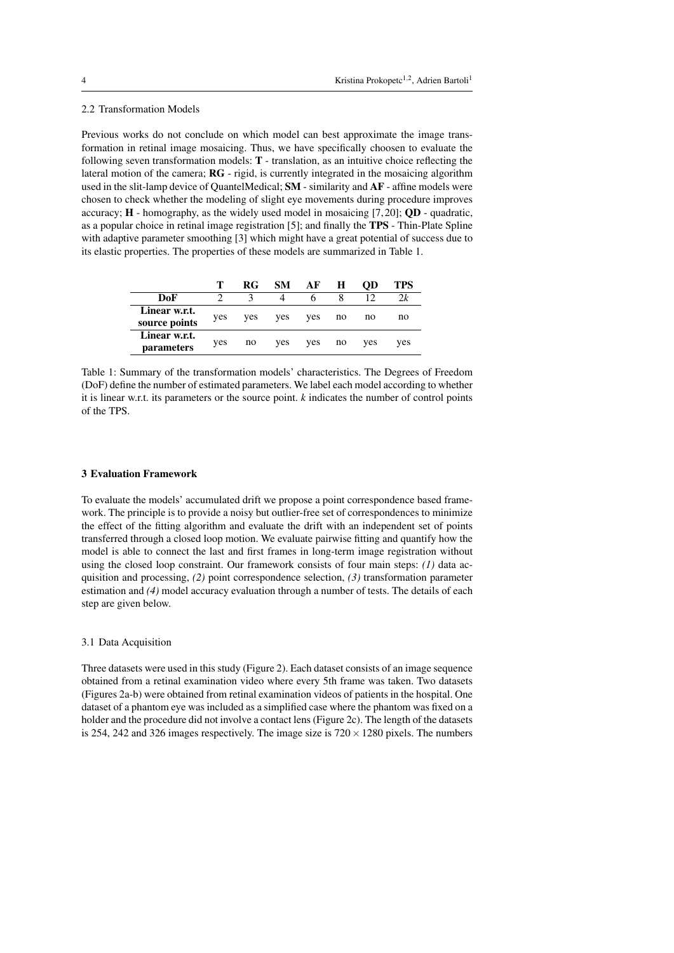# 2.2 Transformation Models

Previous works do not conclude on which model can best approximate the image transformation in retinal image mosaicing. Thus, we have specifically choosen to evaluate the following seven transformation models: T - translation, as an intuitive choice reflecting the lateral motion of the camera; RG - rigid, is currently integrated in the mosaicing algorithm used in the slit-lamp device of QuantelMedical; SM - similarity and AF - affine models were chosen to check whether the modeling of slight eye movements during procedure improves accuracy;  $H$  - homography, as the widely used model in mosaicing [7,20];  $OD$  - quadratic, as a popular choice in retinal image registration [5]; and finally the TPS - Thin-Plate Spline with adaptive parameter smoothing [3] which might have a great potential of success due to its elastic properties. The properties of these models are summarized in Table 1.

|                                    | т   | RG  | <b>SM</b> | АF  | н  | OD  | TPS |
|------------------------------------|-----|-----|-----------|-----|----|-----|-----|
| DoF                                |     |     |           |     |    |     | 2k  |
| Linear w.r.t.<br>source points     | ves | yes | yes       | ves | no | no  | no  |
| Linear w.r.t.<br><i>parameters</i> | ves | no  | ves       | ves | no | ves | ves |

Table 1: Summary of the transformation models' characteristics. The Degrees of Freedom (DoF) define the number of estimated parameters. We label each model according to whether it is linear w.r.t. its parameters or the source point. *k* indicates the number of control points of the TPS.

## 3 Evaluation Framework

To evaluate the models' accumulated drift we propose a point correspondence based framework. The principle is to provide a noisy but outlier-free set of correspondences to minimize the effect of the fitting algorithm and evaluate the drift with an independent set of points transferred through a closed loop motion. We evaluate pairwise fitting and quantify how the model is able to connect the last and first frames in long-term image registration without using the closed loop constraint. Our framework consists of four main steps: *(1)* data acquisition and processing, *(2)* point correspondence selection, *(3)* transformation parameter estimation and *(4)* model accuracy evaluation through a number of tests. The details of each step are given below.

## 3.1 Data Acquisition

Three datasets were used in this study (Figure 2). Each dataset consists of an image sequence obtained from a retinal examination video where every 5th frame was taken. Two datasets (Figures 2a-b) were obtained from retinal examination videos of patients in the hospital. One dataset of a phantom eye was included as a simplified case where the phantom was fixed on a holder and the procedure did not involve a contact lens (Figure 2c). The length of the datasets is 254, 242 and 326 images respectively. The image size is  $720 \times 1280$  pixels. The numbers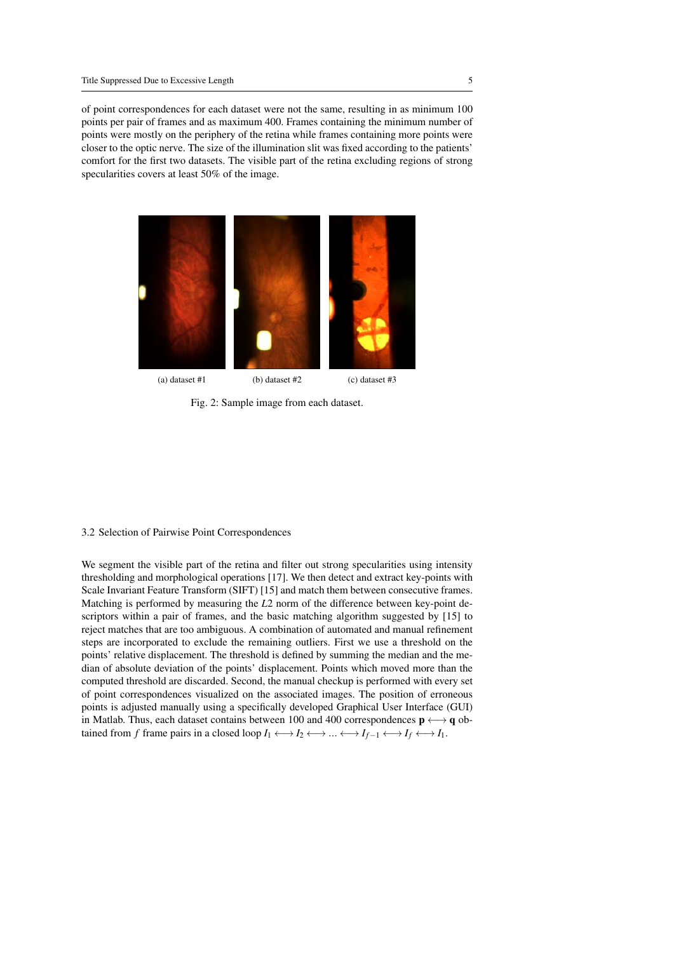of point correspondences for each dataset were not the same, resulting in as minimum 100 points per pair of frames and as maximum 400. Frames containing the minimum number of points were mostly on the periphery of the retina while frames containing more points were closer to the optic nerve. The size of the illumination slit was fixed according to the patients' comfort for the first two datasets. The visible part of the retina excluding regions of strong specularities covers at least 50% of the image.



Fig. 2: Sample image from each dataset.

## 3.2 Selection of Pairwise Point Correspondences

We segment the visible part of the retina and filter out strong specularities using intensity thresholding and morphological operations [17]. We then detect and extract key-points with Scale Invariant Feature Transform (SIFT) [15] and match them between consecutive frames. Matching is performed by measuring the *L*2 norm of the difference between key-point descriptors within a pair of frames, and the basic matching algorithm suggested by [15] to reject matches that are too ambiguous. A combination of automated and manual refinement steps are incorporated to exclude the remaining outliers. First we use a threshold on the points' relative displacement. The threshold is defined by summing the median and the median of absolute deviation of the points' displacement. Points which moved more than the computed threshold are discarded. Second, the manual checkup is performed with every set of point correspondences visualized on the associated images. The position of erroneous points is adjusted manually using a specifically developed Graphical User Interface (GUI) in Matlab. Thus, each dataset contains between 100 and 400 correspondences  $\mathbf{p} \longleftrightarrow \mathbf{q}$  obtained from *f* frame pairs in a closed loop  $I_1 \longleftrightarrow I_2 \longleftrightarrow ... \longleftrightarrow I_{f-1} \longleftrightarrow I_f \longleftrightarrow I_1$ .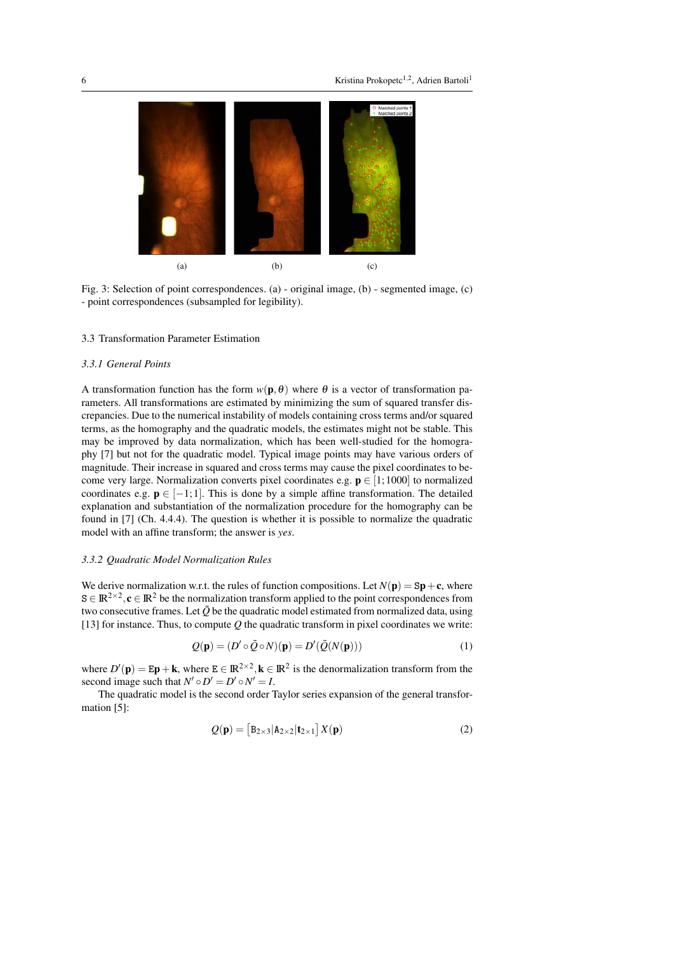

Fig. 3: Selection of point correspondences. (a) - original image, (b) - segmented image, (c) - point correspondences (subsampled for legibility).

#### 3.3 Transformation Parameter Estimation

#### *3.3.1 General Points*

A transformation function has the form  $w(\mathbf{p}, \theta)$  where  $\theta$  is a vector of transformation parameters. All transformations are estimated by minimizing the sum of squared transfer discrepancies. Due to the numerical instability of models containing cross terms and/or squared terms, as the homography and the quadratic models, the estimates might not be stable. This may be improved by data normalization, which has been well-studied for the homography [7] but not for the quadratic model. Typical image points may have various orders of magnitude. Their increase in squared and cross terms may cause the pixel coordinates to become very large. Normalization converts pixel coordinates e.g.  $p \in [1; 1000]$  to normalized coordinates e.g.  $p \in [-1, 1]$ . This is done by a simple affine transformation. The detailed explanation and substantiation of the normalization procedure for the homography can be found in [7] (Ch. 4.4.4). The question is whether it is possible to normalize the quadratic model with an affine transform; the answer is *yes*.

## *3.3.2 Quadratic Model Normalization Rules*

We derive normalization w.r.t. the rules of function compositions. Let  $N(\mathbf{p}) = \mathbf{Sp} + \mathbf{c}$ , where  $S \in \mathbb{R}^{2 \times 2}$ ,  $c \in \mathbb{R}^2$  be the normalization transform applied to the point correspondences from two consecutive frames. Let  $\tilde{Q}$  be the quadratic model estimated from normalized data, using [13] for instance. Thus, to compute *Q* the quadratic transform in pixel coordinates we write:

$$
Q(\mathbf{p}) = (D' \circ \tilde{Q} \circ N)(\mathbf{p}) = D'(\tilde{Q}(N(\mathbf{p})))
$$
\n(1)

where  $D'(\mathbf{p}) = \mathbf{E}\mathbf{p} + \mathbf{k}$ , where  $\mathbf{E} \in \mathbb{R}^{2 \times 2}$ ,  $\mathbf{k} \in \mathbb{R}^{2}$  is the denormalization transform from the second image such that  $N' \circ D' = D' \circ N' = I$ .

The quadratic model is the second order Taylor series expansion of the general transformation [5]:

$$
Q(\mathbf{p}) = \left[\mathbf{B}_{2\times3}|\mathbf{A}_{2\times2}|\mathbf{t}_{2\times1}\right]X(\mathbf{p})\tag{2}
$$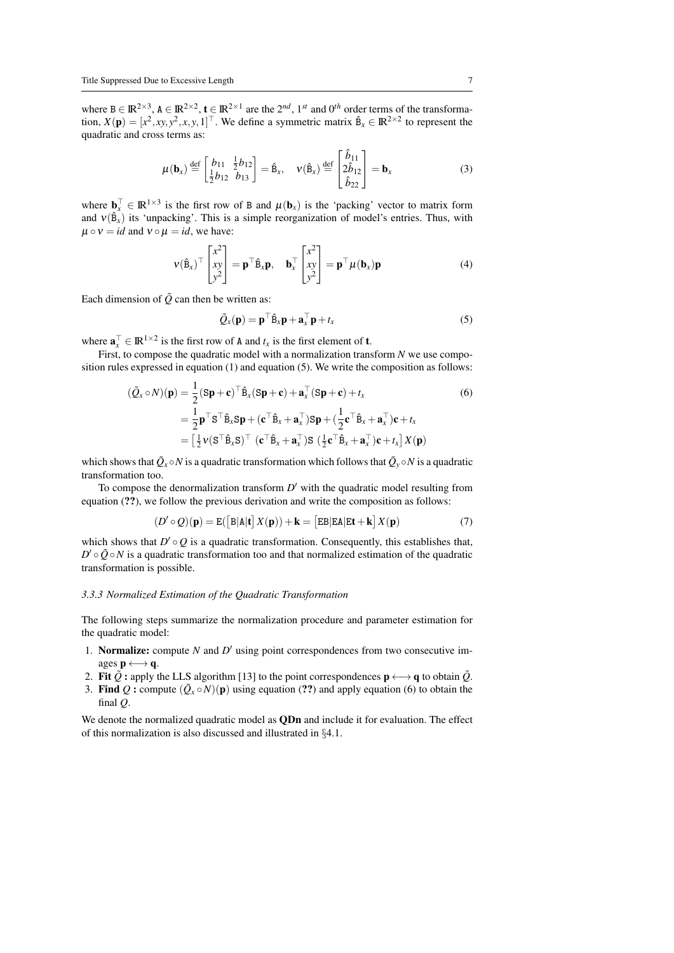where  $B \in \mathbb{R}^{2 \times 3}$ ,  $A \in \mathbb{R}^{2 \times 2}$ ,  $t \in \mathbb{R}^{2 \times 1}$  are the  $2^{nd}$ ,  $1^{st}$  and  $0^{th}$  order terms of the transformation,  $X(\mathbf{p}) = [x^2, xy, y^2, x, y, 1]^\top$ . We define a symmetric matrix  $\hat{\mathbf{B}}_x \in \mathbb{R}^{2 \times 2}$  to represent the quadratic and cross terms as:

$$
\mu(\mathbf{b}_x) \stackrel{\text{def}}{=} \begin{bmatrix} b_{11} & \frac{1}{2}b_{12} \\ \frac{1}{2}b_{12} & b_{13} \end{bmatrix} = \hat{\mathbf{B}}_x, \quad \nu(\hat{\mathbf{B}}_x) \stackrel{\text{def}}{=} \begin{bmatrix} \hat{b}_{11} \\ 2\hat{b}_{12} \\ \hat{b}_{22} \end{bmatrix} = \mathbf{b}_x
$$
 (3)

where  $\mathbf{b}_x^{\top} \in \mathbb{R}^{1 \times 3}$  is the first row of B and  $\mu(\mathbf{b}_x)$  is the 'packing' vector to matrix form and  $v(\hat{B}_x)$  its 'unpacking'. This is a simple reorganization of model's entries. Thus, with  $\mu \circ \nu = id$  and  $\nu \circ \mu = id$ , we have:

$$
\mathbf{v}(\hat{\mathbf{B}}_x)^{\top} \begin{bmatrix} x^2 \\ xy \\ y^2 \end{bmatrix} = \mathbf{p}^{\top} \hat{\mathbf{B}}_x \mathbf{p}, \quad \mathbf{b}_x^{\top} \begin{bmatrix} x^2 \\ xy \\ y^2 \end{bmatrix} = \mathbf{p}^{\top} \mu(\mathbf{b}_x) \mathbf{p}
$$
(4)

Each dimension of  $\tilde{O}$  can then be written as:

$$
\tilde{Q}_x(\mathbf{p}) = \mathbf{p}^\top \hat{\mathbf{B}}_x \mathbf{p} + \mathbf{a}_x^\top \mathbf{p} + t_x \tag{5}
$$

where  $\mathbf{a}_x^{\top} \in \mathbb{R}^{1 \times 2}$  is the first row of A and  $t_x$  is the first element of **t**.

First, to compose the quadratic model with a normalization transform *N* we use composition rules expressed in equation  $(1)$  and equation  $(5)$ . We write the composition as follows:

$$
(\tilde{Q}_x \circ N)(\mathbf{p}) = \frac{1}{2} (\mathbf{S}\mathbf{p} + \mathbf{c})^\top \hat{\mathbf{B}}_x (\mathbf{S}\mathbf{p} + \mathbf{c}) + \mathbf{a}_x^\top (\mathbf{S}\mathbf{p} + \mathbf{c}) + t_x
$$
(6)  

$$
= \frac{1}{2} \mathbf{p}^\top \mathbf{S}^\top \hat{\mathbf{B}}_x \mathbf{S}\mathbf{p} + (\mathbf{c}^\top \hat{\mathbf{B}}_x + \mathbf{a}_x^\top) \mathbf{S}\mathbf{p} + (\frac{1}{2} \mathbf{c}^\top \hat{\mathbf{B}}_x + \mathbf{a}_x^\top) \mathbf{c} + t_x
$$

$$
= \left[\frac{1}{2} \mathbf{v} (\mathbf{S}^\top \hat{\mathbf{B}}_x \mathbf{S})^\top (\mathbf{c}^\top \hat{\mathbf{B}}_x + \mathbf{a}_x^\top) \mathbf{S} (\frac{1}{2} \mathbf{c}^\top \hat{\mathbf{B}}_x + \mathbf{a}_x^\top) \mathbf{c} + t_x\right] X(\mathbf{p})
$$

which shows that  $\tilde{Q}_x \circ N$  is a quadratic transformation which follows that  $\tilde{Q}_y \circ N$  is a quadratic transformation too.

To compose the denormalization transform  $D'$  with the quadratic model resulting from equation (??), we follow the previous derivation and write the composition as follows:

$$
(D' \circ Q)(\mathbf{p}) = \mathbf{E}(\left[\mathbf{B}|\mathbf{A}|\mathbf{t}\right]X(\mathbf{p})) + \mathbf{k} = \left[\mathbf{E}\mathbf{B}|\mathbf{E}\mathbf{A}|\mathbf{E}\mathbf{t} + \mathbf{k}\right]X(\mathbf{p})\tag{7}
$$

which shows that  $D' \circ Q$  is a quadratic transformation. Consequently, this establishes that,  $D' \circ \tilde{Q} \circ N$  is a quadratic transformation too and that normalized estimation of the quadratic transformation is possible.

## *3.3.3 Normalized Estimation of the Quadratic Transformation*

The following steps summarize the normalization procedure and parameter estimation for the quadratic model:

- 1. **Normalize:** compute  $N$  and  $D'$  using point correspondences from two consecutive images  $\mathbf{p} \longleftrightarrow \mathbf{q}$ .
- 2. Fit  $\tilde{O}$ : apply the LLS algorithm [13] to the point correspondences  $\mathbf{p} \longleftrightarrow \mathbf{q}$  to obtain  $\tilde{O}$ .
- 3. Find Q: compute  $(\tilde{Q}_x \circ N)(p)$  using equation (??) and apply equation (6) to obtain the final *Q*.

We denote the normalized quadratic model as **QDn** and include it for evaluation. The effect of this normalization is also discussed and illustrated in §4.1.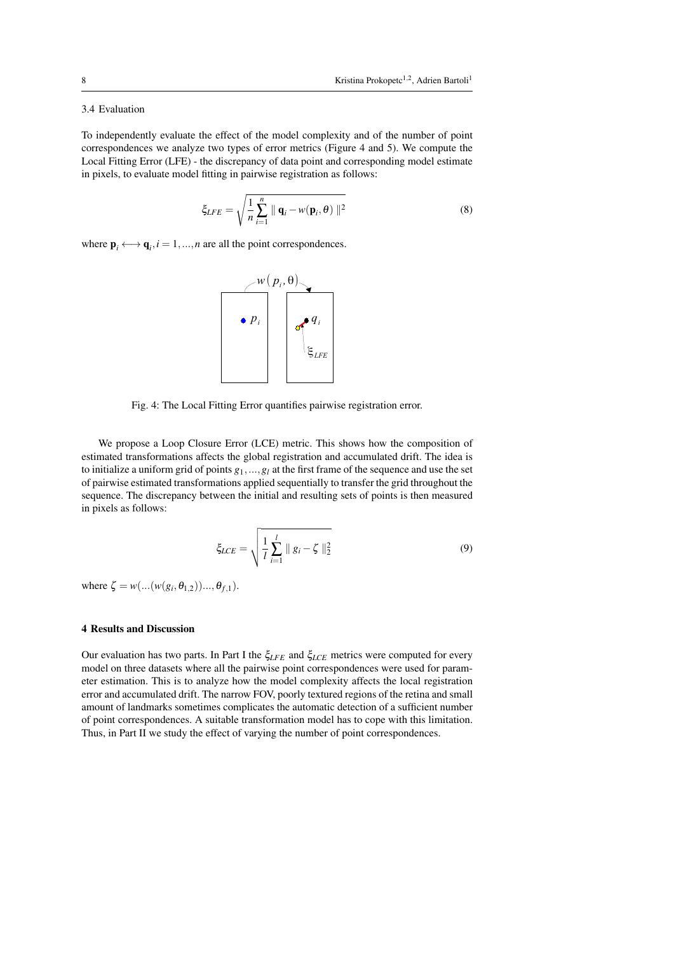# 3.4 Evaluation

To independently evaluate the effect of the model complexity and of the number of point correspondences we analyze two types of error metrics (Figure 4 and 5). We compute the Local Fitting Error (LFE) - the discrepancy of data point and corresponding model estimate in pixels, to evaluate model fitting in pairwise registration as follows:

$$
\xi_{LFE} = \sqrt{\frac{1}{n} \sum_{i=1}^{n} ||\mathbf{q}_i - w(\mathbf{p}_i, \theta)||^2}
$$
(8)

where  $\mathbf{p}_i \longleftrightarrow \mathbf{q}_i, i = 1, ..., n$  are all the point correspondences.



Fig. 4: The Local Fitting Error quantifies pairwise registration error.

We propose a Loop Closure Error (LCE) metric. This shows how the composition of estimated transformations affects the global registration and accumulated drift. The idea is to initialize a uniform grid of points  $g_1, \ldots, g_l$  at the first frame of the sequence and use the set of pairwise estimated transformations applied sequentially to transfer the grid throughout the sequence. The discrepancy between the initial and resulting sets of points is then measured in pixels as follows:

$$
\xi_{LCE} = \sqrt{\frac{1}{l} \sum_{i=1}^{l} ||g_i - \zeta||_2^2}
$$
 (9)

where  $\zeta = w(...(w(g_i, \theta_{1,2}))..., \theta_{f,1}).$ 

## 4 Results and Discussion

Our evaluation has two parts. In Part I the ξ*LFE* and ξ*LCE* metrics were computed for every model on three datasets where all the pairwise point correspondences were used for parameter estimation. This is to analyze how the model complexity affects the local registration error and accumulated drift. The narrow FOV, poorly textured regions of the retina and small amount of landmarks sometimes complicates the automatic detection of a sufficient number of point correspondences. A suitable transformation model has to cope with this limitation. Thus, in Part II we study the effect of varying the number of point correspondences.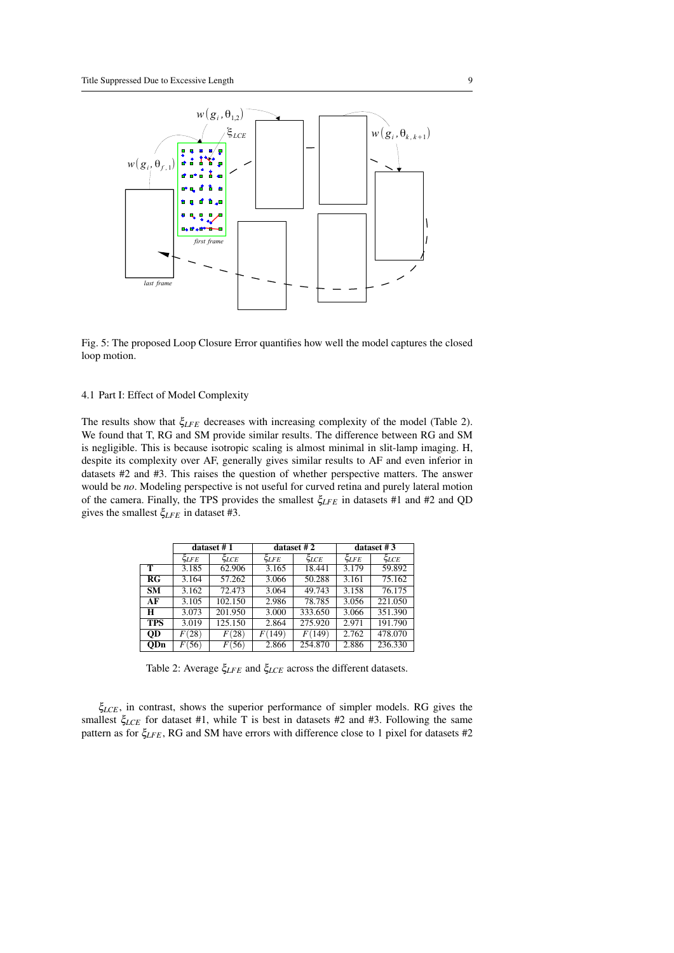

Fig. 5: The proposed Loop Closure Error quantifies how well the model captures the closed loop motion.

# 4.1 Part I: Effect of Model Complexity

The results show that ξ*LFE* decreases with increasing complexity of the model (Table 2). We found that T, RG and SM provide similar results. The difference between RG and SM is negligible. This is because isotropic scaling is almost minimal in slit-lamp imaging. H, despite its complexity over AF, generally gives similar results to AF and even inferior in datasets #2 and #3. This raises the question of whether perspective matters. The answer would be *no*. Modeling perspective is not useful for curved retina and purely lateral motion of the camera. Finally, the TPS provides the smallest ξ*LFE* in datasets #1 and #2 and QD gives the smallest ξ*LFE* in dataset #3.

|            | dataset #1    |               |             | dataset #2    | dataset # $3$ |               |  |
|------------|---------------|---------------|-------------|---------------|---------------|---------------|--|
|            | $\zeta_{LFE}$ | $\zeta_{LCE}$ | $\xi_{LFE}$ | $\zeta_{LCE}$ | $\xi$ LFE     | $\zeta_{LCE}$ |  |
| т          | 3.185         | 62.906        | 3.165       | 18.441        | 3.179         | 59.892        |  |
| RG         | 3.164         | 57.262        | 3.066       | 50.288        | 3.161         | 75.162        |  |
| <b>SM</b>  | 3.162         | 72.473        | 3.064       | 49.743        | 3.158         | 76.175        |  |
| AF         | 3.105         | 102.150       | 2.986       | 78.785        | 3.056         | 221.050       |  |
| H          | 3.073         | 201.950       | 3.000       | 333.650       | 3.066         | 351.390       |  |
| <b>TPS</b> | 3.019         | 125.150       | 2.864       | 275.920       | 2.971         | 191.790       |  |
| <b>OD</b>  | F(28)         | F(28)         | F(149)      | F(149)        | 2.762         | 478.070       |  |
| ODn        | F(56)         | F(56          | 2.866       | 254.870       | 2.886         | 236.330       |  |

Table 2: Average ξ*LFE* and ξ*LCE* across the different datasets.

ξ*LCE*, in contrast, shows the superior performance of simpler models. RG gives the smallest  $\zeta_{LCE}$  for dataset #1, while T is best in datasets #2 and #3. Following the same pattern as for ξ*LFE*, RG and SM have errors with difference close to 1 pixel for datasets #2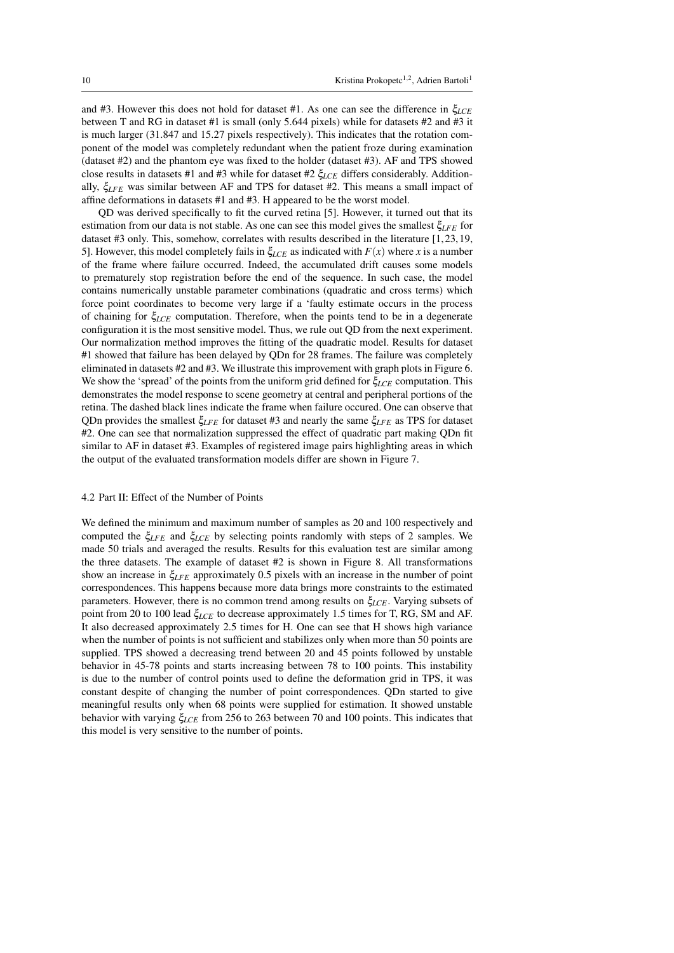and #3. However this does not hold for dataset #1. As one can see the difference in ξ*LCE* between T and RG in dataset #1 is small (only 5.644 pixels) while for datasets #2 and #3 it is much larger (31.847 and 15.27 pixels respectively). This indicates that the rotation component of the model was completely redundant when the patient froze during examination (dataset #2) and the phantom eye was fixed to the holder (dataset #3). AF and TPS showed close results in datasets #1 and #3 while for dataset #2 ξ*LCE* differs considerably. Additionally, ξ*LFE* was similar between AF and TPS for dataset #2. This means a small impact of affine deformations in datasets #1 and #3. H appeared to be the worst model.

QD was derived specifically to fit the curved retina [5]. However, it turned out that its estimation from our data is not stable. As one can see this model gives the smallest ξ*LFE* for dataset #3 only. This, somehow, correlates with results described in the literature [1, 23, 19, 5]. However, this model completely fails in  $\xi_{LCE}$  as indicated with  $F(x)$  where *x* is a number of the frame where failure occurred. Indeed, the accumulated drift causes some models to prematurely stop registration before the end of the sequence. In such case, the model contains numerically unstable parameter combinations (quadratic and cross terms) which force point coordinates to become very large if a 'faulty estimate occurs in the process of chaining for  $\xi_{LCE}$  computation. Therefore, when the points tend to be in a degenerate configuration it is the most sensitive model. Thus, we rule out QD from the next experiment. Our normalization method improves the fitting of the quadratic model. Results for dataset #1 showed that failure has been delayed by QDn for 28 frames. The failure was completely eliminated in datasets #2 and #3. We illustrate this improvement with graph plots in Figure 6. We show the 'spread' of the points from the uniform grid defined for ξ*LCE* computation. This demonstrates the model response to scene geometry at central and peripheral portions of the retina. The dashed black lines indicate the frame when failure occured. One can observe that QDn provides the smallest ξ*LFE* for dataset #3 and nearly the same ξ*LFE* as TPS for dataset #2. One can see that normalization suppressed the effect of quadratic part making QDn fit similar to AF in dataset #3. Examples of registered image pairs highlighting areas in which the output of the evaluated transformation models differ are shown in Figure 7.

#### 4.2 Part II: Effect of the Number of Points

We defined the minimum and maximum number of samples as 20 and 100 respectively and computed the ξ*LFE* and ξ*LCE* by selecting points randomly with steps of 2 samples. We made 50 trials and averaged the results. Results for this evaluation test are similar among the three datasets. The example of dataset #2 is shown in Figure 8. All transformations show an increase in ξ*LFE* approximately 0.5 pixels with an increase in the number of point correspondences. This happens because more data brings more constraints to the estimated parameters. However, there is no common trend among results on ξ*LCE*. Varying subsets of point from 20 to 100 lead ξ*LCE* to decrease approximately 1.5 times for T, RG, SM and AF. It also decreased approximately 2.5 times for H. One can see that H shows high variance when the number of points is not sufficient and stabilizes only when more than 50 points are supplied. TPS showed a decreasing trend between 20 and 45 points followed by unstable behavior in 45-78 points and starts increasing between 78 to 100 points. This instability is due to the number of control points used to define the deformation grid in TPS, it was constant despite of changing the number of point correspondences. QDn started to give meaningful results only when 68 points were supplied for estimation. It showed unstable behavior with varying ξ*LCE* from 256 to 263 between 70 and 100 points. This indicates that this model is very sensitive to the number of points.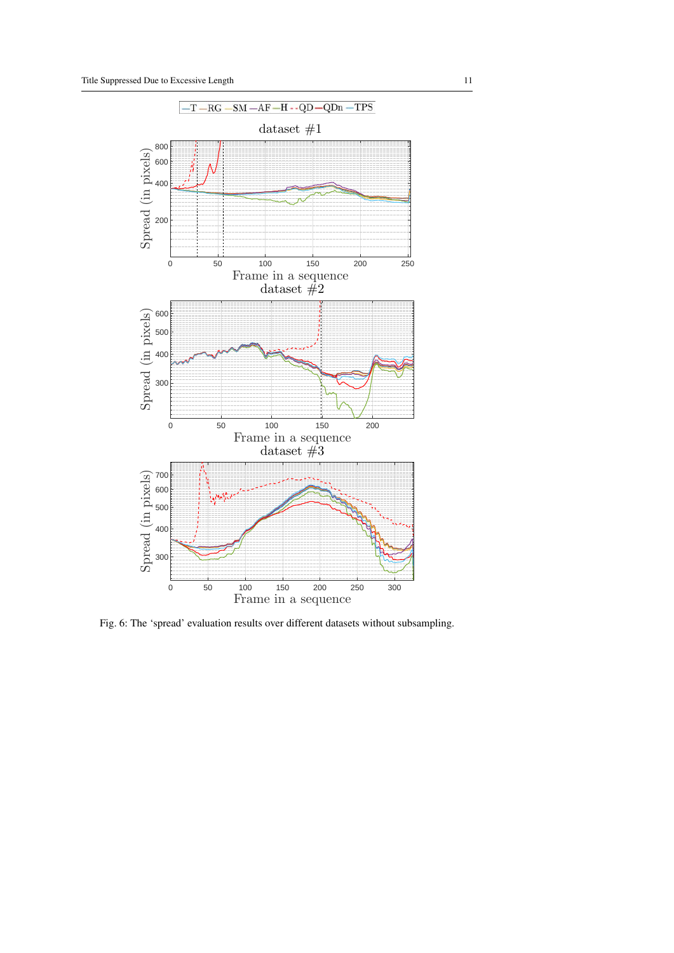

Fig. 6: The 'spread' evaluation results over different datasets without subsampling.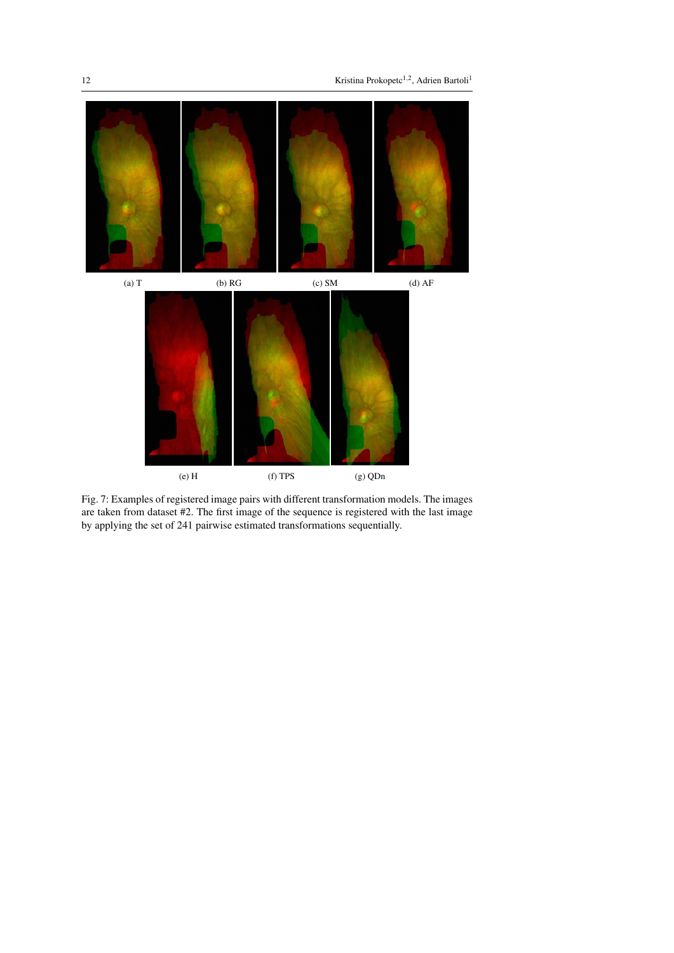

Fig. 7: Examples of registered image pairs with different transformation models. The images are taken from dataset #2. The first image of the sequence is registered with the last image by applying the set of 241 pairwise estimated transformations sequentially.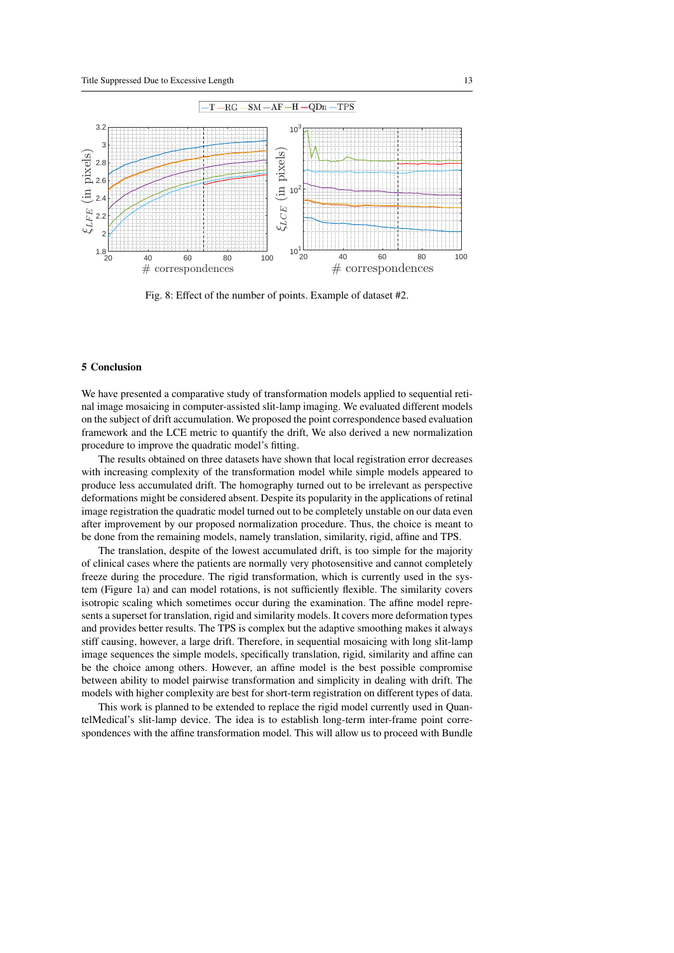

Fig. 8: Effect of the number of points. Example of dataset #2.

## 5 Conclusion

We have presented a comparative study of transformation models applied to sequential retinal image mosaicing in computer-assisted slit-lamp imaging. We evaluated different models on the subject of drift accumulation. We proposed the point correspondence based evaluation framework and the LCE metric to quantify the drift, We also derived a new normalization procedure to improve the quadratic model's fitting.

The results obtained on three datasets have shown that local registration error decreases with increasing complexity of the transformation model while simple models appeared to produce less accumulated drift. The homography turned out to be irrelevant as perspective deformations might be considered absent. Despite its popularity in the applications of retinal image registration the quadratic model turned out to be completely unstable on our data even after improvement by our proposed normalization procedure. Thus, the choice is meant to be done from the remaining models, namely translation, similarity, rigid, affine and TPS.

The translation, despite of the lowest accumulated drift, is too simple for the majority of clinical cases where the patients are normally very photosensitive and cannot completely freeze during the procedure. The rigid transformation, which is currently used in the system (Figure 1a) and can model rotations, is not sufficiently flexible. The similarity covers isotropic scaling which sometimes occur during the examination. The affine model represents a superset for translation, rigid and similarity models. It covers more deformation types and provides better results. The TPS is complex but the adaptive smoothing makes it always stiff causing, however, a large drift. Therefore, in sequential mosaicing with long slit-lamp image sequences the simple models, specifically translation, rigid, similarity and affine can be the choice among others. However, an affine model is the best possible compromise between ability to model pairwise transformation and simplicity in dealing with drift. The models with higher complexity are best for short-term registration on different types of data.

This work is planned to be extended to replace the rigid model currently used in QuantelMedical's slit-lamp device. The idea is to establish long-term inter-frame point correspondences with the affine transformation model. This will allow us to proceed with Bundle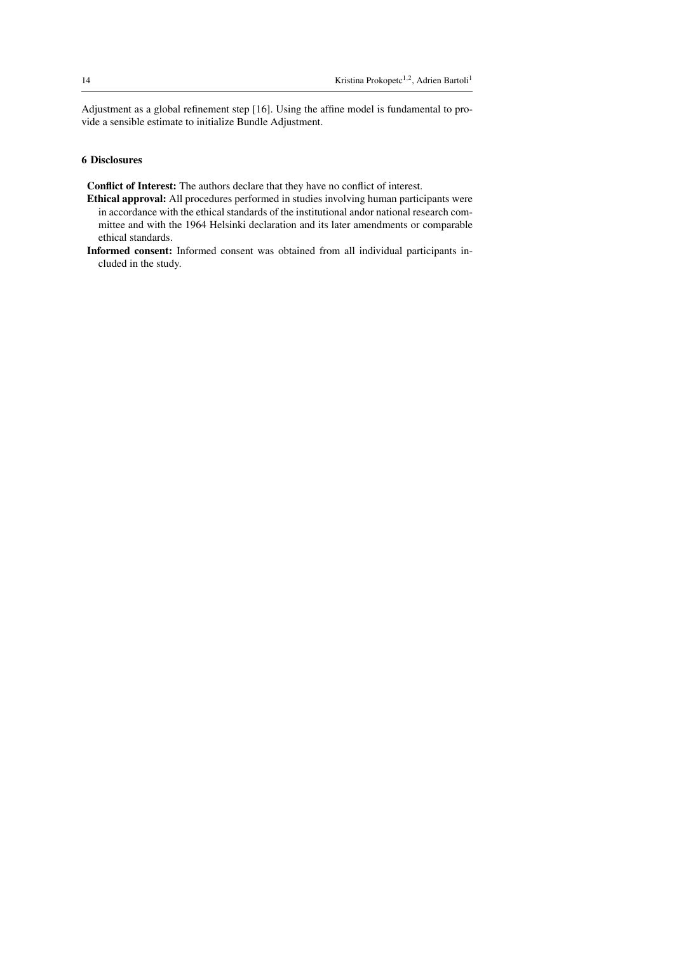Adjustment as a global refinement step [16]. Using the affine model is fundamental to provide a sensible estimate to initialize Bundle Adjustment.

# 6 Disclosures

Conflict of Interest: The authors declare that they have no conflict of interest.

- Ethical approval: All procedures performed in studies involving human participants were in accordance with the ethical standards of the institutional andor national research committee and with the 1964 Helsinki declaration and its later amendments or comparable ethical standards.
- Informed consent: Informed consent was obtained from all individual participants included in the study.